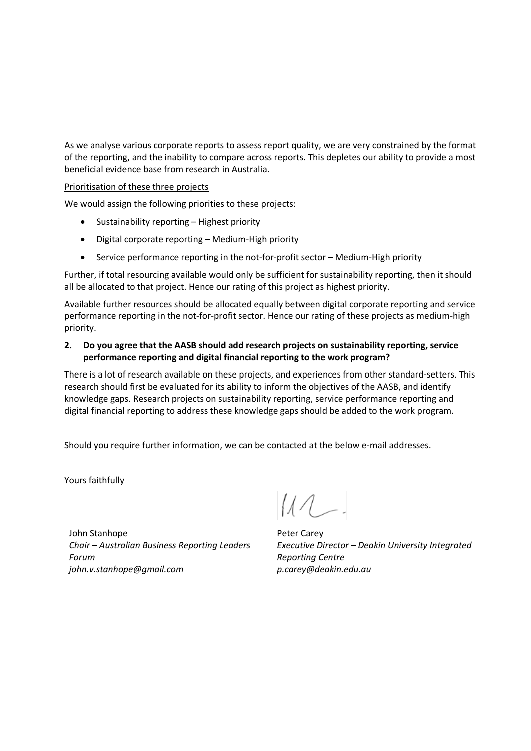As we analyse various corporate reports to assess report quality, we are very constrained by the format of the reporting, and the inability to compare across reports. This depletes our ability to provide a most beneficial evidence base from research in Australia.

## Prioritisation of these three projects

We would assign the following priorities to these projects:

- Sustainability reporting Highest priority
- Digital corporate reporting Medium-High priority
- Service performance reporting in the not-for-profit sector Medium-High priority

Further, if total resourcing available would only be sufficient for sustainability reporting, then it should all be allocated to that project. Hence our rating of this project as highest priority.

Available further resources should be allocated equally between digital corporate reporting and service performance reporting in the not-for-profit sector. Hence our rating of these projects as medium-high priority.

## **2. Do you agree that the AASB should add research projects on sustainability reporting, service performance reporting and digital financial reporting to the work program?**

There is a lot of research available on these projects, and experiences from other standard-setters. This research should first be evaluated for its ability to inform the objectives of the AASB, and identify knowledge gaps. Research projects on sustainability reporting, service performance reporting and digital financial reporting to address these knowledge gaps should be added to the work program.

Should you require further information, we can be contacted at the below e-mail addresses.

Yours faithfully



John Stanhope **Peter Carey** *Chair – Australian Business Reporting Leaders Forum john.v.stanhope@gmail.com p.carey@deakin.edu.au*

 $\mathcal{U} \Lambda$ 

*Executive Director – Deakin University Integrated Reporting Centre*